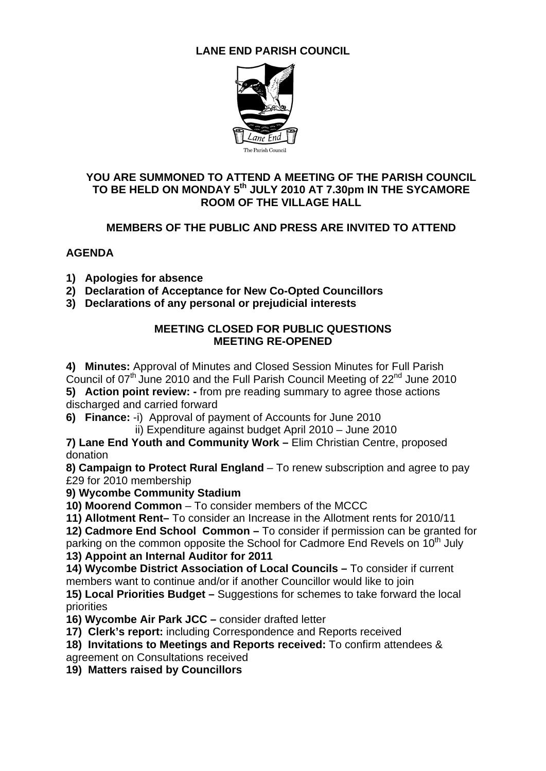# **LANE END PARISH COUNCIL**



#### **YOU ARE SUMMONED TO ATTEND A MEETING OF THE PARISH COUNCIL**  TO BE HELD ON MONDAY 5<sup>th</sup> JULY 2010 AT 7.30pm IN THE SYCAMORE **ROOM OF THE VILLAGE HALL**

## **MEMBERS OF THE PUBLIC AND PRESS ARE INVITED TO ATTEND**

## **AGENDA**

- **1) Apologies for absence**
- **2) Declaration of Acceptance for New Co-Opted Councillors**
- **3) Declarations of any personal or prejudicial interests**

### **MEETING CLOSED FOR PUBLIC QUESTIONS MEETING RE-OPENED**

**4) Minutes:** Approval of Minutes and Closed Session Minutes for Full Parish Council of 07<sup>th</sup> June 2010 and the Full Parish Council Meeting of 22<sup>nd</sup> June 2010

**5) Action point review: -** from pre reading summary to agree those actions discharged and carried forward

- **6) Finance:** -i) Approval of payment of Accounts for June 2010
	- ii) Expenditure against budget April 2010 June 2010

**7) Lane End Youth and Community Work –** Elim Christian Centre, proposed donation

**8) Campaign to Protect Rural England** – To renew subscription and agree to pay £29 for 2010 membership

**9) Wycombe Community Stadium**

**10) Moorend Common** – To consider members of the MCCC

**11) Allotment Rent–** To consider an Increase in the Allotment rents for 2010/11 **12) Cadmore End School Common –** To consider if permission can be granted for parking on the common opposite the School for Cadmore End Revels on 10<sup>th</sup> July

**13) Appoint an Internal Auditor for 2011** 

**14) Wycombe District Association of Local Councils –** To consider if current members want to continue and/or if another Councillor would like to join

**15) Local Priorities Budget –** Suggestions for schemes to take forward the local priorities

**16) Wycombe Air Park JCC –** consider drafted letter

**17) Clerk's report:** including Correspondence and Reports received

**18) Invitations to Meetings and Reports received:** To confirm attendees &

agreement on Consultations received

**19) Matters raised by Councillors**